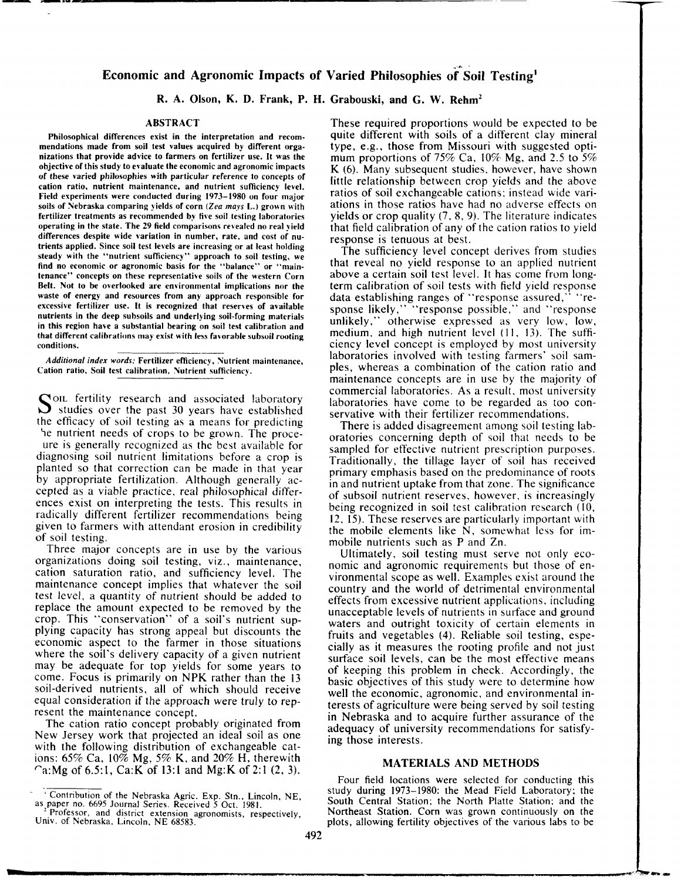# Economic and Agronomic Impacts of Varied Philosophies of Soil Testing

R. A. Olson, K. D. Frank, P. H. Grabouski, and G. W. Rehm<sup>2</sup>

## ABSTRACT

Philosophical differences exist in the interpretation and recommendations made from soil test values acquired by different organizations that provide advice to farmers on fertilizer use, lt was the objective of this study to er aluate the economic and agronomic impacts of these varied philosophies with particular reference to concepls of cation ratio, nutrient maintenance, and nutrient sufficiency level. Field experiments were conducted during l97J-1980 on four major soils of Nebraska comparing vields of corn (Zea mays L.) grown with fertilizer treatments as recommended by five soil testing laboratories operating in the state. The 29 field comparisons rerealed no real vield differences despite wide variation in number, rate, and cost of nutrients applied. Since soil test levels are increasing or at least holding steady with the "nutrient sufficiency" approach to soil testing, we find no economic or agronomic basis for the "balance" or "maintenance" concepts on these represeniative soils of the western Corn 8elt. Not to be overlooked are environmental implications nor the waste of energy and resources from any approach responsible for excessive fertilizer use. It is recognized that reserves of available nutrients in the deep subsoils and underlying soil-forming materials in this region have a substantial bearing on soil test calibration and that different calibrations may exist with less favorable subsoil rooting conditions.

Additional index words: Fertilizer efficiency, Nutrient maintenance, Cation ratio. Soil test calibration. Nutrient sufficiencv.

 $\sum$  OIL fertility research and associated laboratory  $\overline{J}$  studies over the past 30 years have established the efficacy of soil testing as a means for predicting \e nutrient needs of crops to be grown. The proce-

ure is generally recognized as the best available for diagnosing soil nutrient limitations before a crop is planted so that correction can be made in that year by appropriate fertilization. Although generally accepted as a viable practice, real philosophical differences exist on interpreting the tests. This results in radically different fertilizer recommendations being given to farmers with attendant erosion in credibility of soil testing.

Three major concepts are in use by the various organizations doing soil testing, viz., maintenance, cation saturation ratio, and sufficiency level. The maintenance concept implies that whatever the soil test level, a quantity of nutrient should be added to replace the amount expected to be removed by the crop. This "conservation" of a soil's nutrient supplying capacity has strong appeal but discounts the economic aspect to the farmer in those situations where the soil's delivery capacity of a given nutrient may be adequate for top yields for some years to come. Focus is primarily on NPK rather than the 13 soil-derived nutrients, all of which should receive equal consideration if the approach were truly to represent the maintenance concept.

The cation ratio concept probably originated from New Jersey work that projected an ideal soil as one with the following distribution of exchangeable cations:  $65\%$  Ca,  $10\%$  Mg,  $5\%$  K, and  $20\%$  H, therewith 'a:Mg of 6.5:1, Ca:K of 13:l and Mg:K of 2:l (2,3).

.<br>...

These required proportions would be expected to be quite different with soils of a different clay mineral type, e.g., those from Missouri with suggested optimum proportions of 75% Ca,  $10\%$  Mg, and 2.5 to 5% K (6). Many subsequent studies, however, have shown little relationship between crop yields and the above ratios of soil exchangeable cations; instead wide variations in those ratios have had no adverse effects on yields or crop quality (7, 8, 9). The literature indicates that field calibration of any of the cation ratios to yield response is tenuous at best.

The sufficiency level concept derives from studies that reveal no yield response to an applied nutrient above a certain soil test level. It has come from longterm calibration of soil tests with field yield response data establishing ranges of "response assured," "response likely," "response possible," and "response unlikely," otherwise expressed as very low, low, medium, and high nutrient level (11, 13). The sufficiency level concept is employcd by most university laboratories involved with testing farmers' soil samples, whereas a combination of the cation ratio and maintenance concepts are in use by the majority of commercial laboratories. As a result, most university laboratories have come to be regarded as too conservative with their fertilizer recommendations.

There is added disagreement among soil testing laboratories concerning depth of soil that needs to be sampled for effective nutrient prescription purposes. Traditionally, the tillage layer of soil has received primary emphasis based on the predominance of roots in and nutrient uptake from that zone. The significance of subsoil nutrient reserves, however, is increasingly being recognized in soil test calibration research (10, 12, l5). These reserves are particularly important with the mobile elements like  $N$ , somewhat less for immobile nutrients such as P and Zn.

Ultimately, soil testing must serve not only economic and agronomic requirements but those of environmental scope as well. Examples exist around the country and the world of detrimental environmental effects from excessive nutrient applications, including unacceptable levels of nutrients in surface and ground waters and outright toxicity of certain elements in fruits and vegetables (4). Reliable soil testing, especially as it measures the rooting profile and not just surface soil levels, can be the most effective means of keeping this problem in check. Accordingly, the basic objectives of this study were to determine how well the economic, agronomic, and environmental interests of agriculture were being served by soil testing in Nebraska and to acquire further assurance of the adequacy of university recommendations for satisfying those interests.

#### MATERIALS AND METHODS

Four field locations were selected for conducting this study during 1973-1980: the Mead Field Laboratory; the South Central Station: the North Platte Station; and the Northeast Station. Corn was grown continuously on the plots, allowing fertility objectives of the various labs to be

Contribution of the Nebraska Agric. Exp. Stn., Lincoln, NE, as paper no. 6695 Journal Series. Received 5 Oct. 1981.

Professor, and district extension agronomists, respectively, Univ. of Nebraska, Lincoln. NE 68583.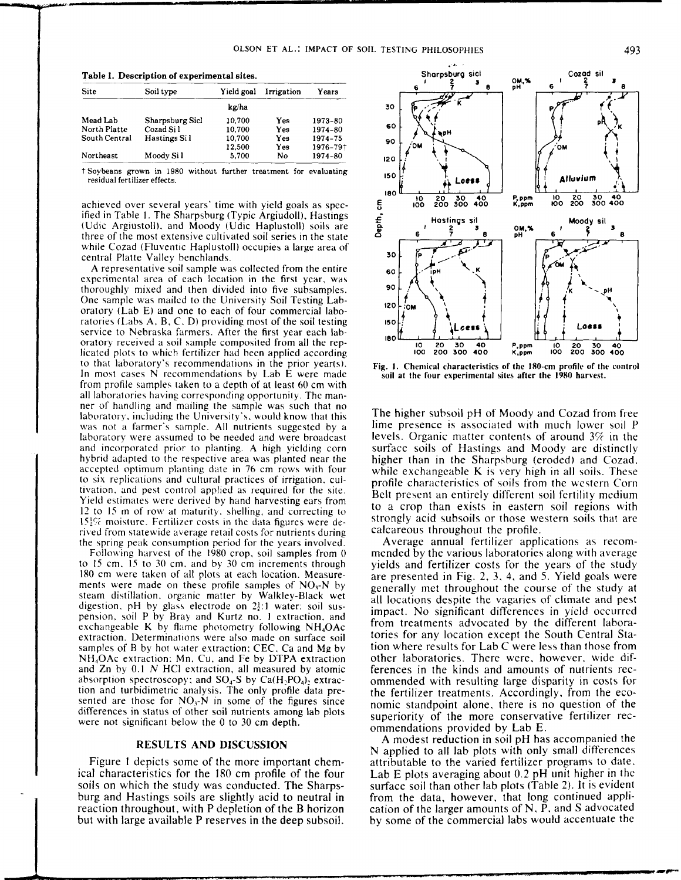|  | Table 1. Description of experimental sites |  |  |
|--|--------------------------------------------|--|--|
|--|--------------------------------------------|--|--|

| Site          | Soil type       | Yield goal | Irrigation | Years    |  |  |  |  |
|---------------|-----------------|------------|------------|----------|--|--|--|--|
|               | kg/ha           |            |            |          |  |  |  |  |
| Mead Lab      | Sharpsburg Sicl | 10.700     | Yes        | 1973-80  |  |  |  |  |
| North Platte  | Cozad Sil       | 10.700     | Yes        | 1974-80  |  |  |  |  |
| South Central | Hastings Si l   | 10,700     | Yes        | 1974-75  |  |  |  |  |
|               |                 | 12,500     | Yes        | 1976-79† |  |  |  |  |
| Northeast     | Moody Si l      | 5,700      | Nο         | 1974-80  |  |  |  |  |

†Soybeans grown in 1980 without further treatment for evaluating residual fertilizer effects.

achieved over several years' time with yield goals as specified in Table 1. The Sharpsburg (Typic Argiudoll), Hastings (Udic Argiustoll), and Moody (Udic Haplustoll) soils are three of the most extensive cultivated soil series in the state while Cozad (Fluventic Haplustoll) occupies a large area of central Platte Valley benchlands.

A representative soil sample was collected from the entire experimental area of each location in the first year, was thoroughly mixed and then divided into five subsamples. One sample was mailed to the University Soil Testing Laboratory (Lab E) and one to each of four commercial laboratories (Labs A, B, C, D) providing most of the soil testing service to Nebraska farmers. After the first year each laboratory received a soil sample composited from all the replicated plots to which fertilizer had been applied according to that laboratory's recommendations in the prior year(s). In most cases N recommendations by Lab E were made from profile samples taken to a depth of at least 60 cm with all laboratories having corresponding opportunity. The manner of handling and mailing the sample was such that no laboratory, including the University's, would know that this was not a farmer's sample. All nutrients suggested by a laboratory were assumed to be needed and were broadcast and incorporated prior to planting. A high yielding corn hybrid adapted to the respective area was planted near the accepted optimum planting date in 76 cm rows with four to six replications and cultural practices of irrigation, cultivation, and pest control applied as required for the site. Yield estimates were derived by hand harvesting ears from 12 to 15 m of row at maturity, shelling, and correcting to 15<sup>1</sup>/<sub>2</sub>% moisture. Fertilizer costs in the data figures were derived from statewide average retail costs for nutrients during the spring peak consumption period for the years involved.

Following harvest of the 1980 crop, soil samples from 0 to 15 cm, 15 to 30 cm, and by 30 cm increments through 180 cm were taken of all plots at each location. Measurements were made on these profile samples of  $NO<sub>3</sub>$ -N by steam distillation, organic matter by Walkley-Black wet digestion, pH by glass electrode on  $2\frac{1}{2}$ :1 water: soil suspension, soil P by Bray and Kurtz no. 1 extraction, and exchangeable K by flame photometry following NH<sub>4</sub>OAc extraction. Determinations were also made on surface soil samples of B by hot water extraction; CEC, Ca and Mg by NH<sub>4</sub>OAc extraction: Mn, Cu, and Fe by DTPA extraction and Zn by 0.1 N HCl extraction, all measured by atomic absorption spectroscopy; and  $SO_4$ -S by  $Ca(H_2PO_4)$ , extraction and turbidimetric analysis. The only profile data presented are those for  $NO_3$ -N in some of the figures since differences in status of other soil nutrients among lab plots were not significant below the 0 to 30 cm depth.

#### RESULTS AND DISCUSSION

Figure 1 depicts some of the more important chemical characteristics for the 180 cm profile of the four soils on which the study was conducted. The Sharpsburg and Hastings soils are slightly acid to neutral in reaction throughout, with P depletion of the B horizon but with large available P reserves in the deep subsoil.



Fig. 1. Chemical characteristics of the 180-cm profile of the control soil at the four experimental sites after the 1980 harvest.

The higher subsoil pH of Moody and Cozad from free lime presence is associated with much lower soil P levels. Organic matter contents of around  $3\%$  in the surface soils of Hastings and Moody are distinctly higher than in the Sharpsburg (eroded) and Cozad, while exchangeable K is very high in all soils. These profile characteristics of soils from the western Corn Belt present an entirely different soil fertility medium to a crop than exists in eastern soil regions with strongly acid subsoils or those western soils that are calcareous throughout the profile.

Average annual fertilizer applications as recommended by the various laboratories along with average yields and fertilizer costs for the years of the study are presented in Fig. 2, 3, 4, and 5. Yield goals were generally met throughout the course of the study at all locations despite the vagaries of climate and pest impact. No significant differences in yield occurred from treatments advocated by the different laboratories for any location except the South Central Station where results for Lab C were less than those from other laboratories. There were, however, wide differences in the kinds and amounts of nutrients recommended with resulting large disparity in costs for the fertilizer treatments. Accordingly, from the economic standpoint alone, there is no question of the superiority of the more conservative fertilizer recommendations provided by Lab E.

A modest reduction in soil pH has accompanied the N applied to all lab plots with only small differences attributable to the varied fertilizer programs to date. Lab  $E$  plots averaging about 0.2 pH unit higher in the surface soil than other lab plots (Table 2). It is evident from the data, however, that long continued application of the larger amounts of N, P, and S advocated by some of the commercial labs would accentuate the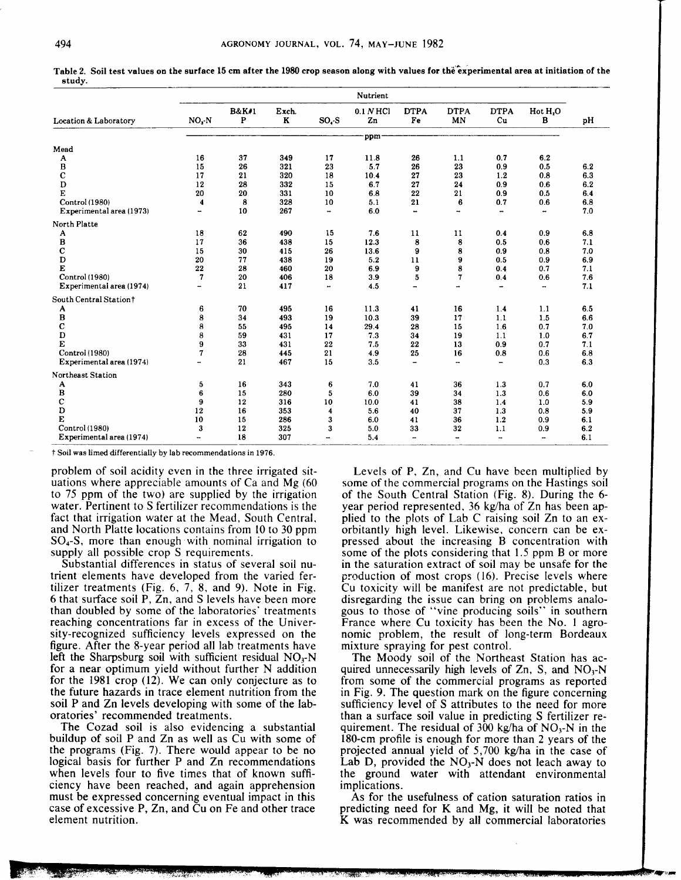| <b>Location &amp; Laboratory</b> | Nutrient |                       |                       |           |                 |                          |                          |                          |                          |     |
|----------------------------------|----------|-----------------------|-----------------------|-----------|-----------------|--------------------------|--------------------------|--------------------------|--------------------------|-----|
|                                  | NO, N    | <b>B&amp;K#1</b><br>P | Exch.<br>$\mathbf{K}$ | $SOt - S$ | 0.1 N HCl<br>Zn | <b>DTPA</b><br>Fe        | <b>DTPA</b><br>MN        | <b>DTPA</b><br>Cu        | Hot H,O<br>В             | pH  |
|                                  |          |                       |                       |           | ppm             |                          |                          |                          |                          |     |
| Mead                             |          |                       |                       |           |                 |                          |                          |                          |                          |     |
| A                                | 16       | 37                    | 349                   | 17        | 11.8            | 26                       | 1.1                      | 0.7                      | 6.2                      |     |
| В                                | 15       | 26                    | 321                   | 23        | 5.7             | 26                       | 23                       | 0.9                      | 0.5                      | 6.2 |
| $\mathbf C$                      | 17       | 21                    | 320                   | 18        | 10.4            | 27                       | 23                       | 1.2                      | 0.8                      | 6.3 |
| D                                | 12       | 28                    | 332                   | 15        | 6.7             | 27                       | 24                       | 0.9                      | 0.6                      | 6.2 |
| E                                | 20       | 20                    | 331                   | 10        | 6.8             | 22                       | 21                       | 0.9                      | 0.5                      | 6.4 |
| Control (1980)                   | 4        | 8                     | 328                   | 10        | 5.1             | 21                       | 6                        | 0.7                      | 0.6                      | 6.8 |
| Experimental area (1973)         | -        | 10                    | 267                   | ۰.        | 6.0             | $\overline{\phantom{a}}$ | -                        |                          | ۰.                       | 7.0 |
| North Platte                     |          |                       |                       |           |                 |                          |                          |                          |                          |     |
| A                                | 18       | 62                    | 490                   | 15        | 7.6             | 11                       | 11                       | 0.4                      | 0.9                      | 6.8 |
| $\, {\bf B}$                     | 17       | 36                    | 438                   | 15        | 12.3            | 8                        | 8                        | 0.5                      | 0.6                      | 7.1 |
| $\mathbf C$                      | 15       | 30                    | 415                   | 26        | 13.6            | 9                        | 8                        | 0.9                      | 0.8                      | 7.0 |
| $\mathbf D$                      | 20       | 77                    | 438                   | 19        | 5.2             | 11                       | 9                        | 0.5                      | 0.9                      | 6.9 |
| E                                | 22       | 28                    | 460                   | 20        | 6.9             | 9                        | 8                        | 0.4                      | 0.7                      | 7.1 |
| Control (1980)                   | 7        | 20                    | 406                   | 18        | 3.9             | 5                        | 7                        | 0.4                      | 0.6                      | 7.6 |
| Experimental area (1974)         | ÷        | 21                    | 417                   | ۰.        | 4.5             | $\overline{\phantom{a}}$ | $\overline{\phantom{a}}$ | $\overline{\phantom{a}}$ | $\overline{\phantom{a}}$ | 7.1 |
| South Central Station†           |          |                       |                       |           |                 |                          |                          |                          |                          |     |
| A                                | 6        | 70                    | 495                   | 16        | 11.3            | 41                       | 16                       | 1.4                      | 1.1                      | 6.5 |
| B                                | 8        | 34                    | 493                   | 19        | 10.3            | 39                       | 17                       | 1.1                      | 1.5                      | 6.6 |
| $\mathbf C$                      | 8        | 55                    | 495                   | 14        | 29.4            | 28                       | 15                       | 1.6                      | 0.7                      | 7.0 |
| $\mathbf D$                      | 8        | 59                    | 431                   | 17        | 7.3             | 34                       | 19                       | 1.1                      | 1.0                      | 6.7 |
| E                                | 9        | 33                    | 431                   | 22        | 7.5             | 22                       | 13                       | 0.9                      | 0.7                      | 7.1 |
| Control (1980)                   | 7        | 28                    | 445                   | 21        | 4.9             | 25                       | 16                       | 0.8                      | 0.6                      | 6.8 |
| Experimental area (1974)         |          | 21                    | 467                   | 15        | 3.5             | $\overline{\phantom{a}}$ | $\sim$                   | ÷.                       | 0.3                      | 6.3 |
| Northeast Station                |          |                       |                       |           |                 |                          |                          |                          |                          |     |
| A                                | 5        | 16                    | 343                   | 6         | 7.0             | 41                       | 36                       | 1.3                      | 0.7                      | 6.0 |
| $\, {\bf B}$                     | 6        | 15                    | 280                   | 5         | 6.0             | 39                       | 34                       | 1.3                      | 0.6                      | 6.0 |
| $\mathbf C$                      | 9        | 12                    | 316                   | 10        | 10.0            | 41                       | 38                       | 1.4                      | $1.0$                    | 5.9 |
| $\mathbf D$                      | 12       | 16                    | 353                   | 4         | 5.6             | 40                       | 37                       | 1.3                      | 0.8                      | 5.9 |
| E                                | 10       | 15                    | 286                   | 3         | 6.0             | 41                       | 36                       | 1.2                      | 0.9                      | 6.1 |
| Control (1980)                   | 3        | 12                    | 325                   | 3         | 5.0             | 33                       | 32                       | 1.1                      | 0.9                      | 6.2 |
| Experimental area (1974)         | ÷        | 18                    | 307                   | --        | 5.4             |                          | ۰.                       | ÷                        |                          | 6.1 |

Table 2. Soil test values on the surface 15 cm after the 1980 crop season along with values for the experimental area at initiation of the study.

† Soil was limed differentially by lab recommendations in 1976.

problem of soil acidity even in the three irrigated situations where appreciable amounts of Ca and Mg (60 to 75 ppm of the two) are supplied by the irrigation water. Pertinent to S fertilizer recommendations is the fact that irrigation water at the Mead, South Central, and North Platte locations contains from 10 to 30 ppm  $SO_4$ -S, more than enough with nominal irrigation to supply all possible crop S requirements.

Substantial differences in status of several soil nutrient elements have developed from the varied fertilizer treatments (Fig. 6, 7, 8, and 9). Note in Fig. 6 that surface soil P, Zn, and S levels have been more than doubled by some of the laboratories' treatments reaching concentrations far in excess of the University-recognized sufficiency levels expressed on the figure. After the 8-year period all lab treatments have left the Sharpsburg soil with sufficient residual  $NO<sub>3</sub>$ -N for a near optimum yield without further N addition for the 1981 crop (12). We can only conjecture as to the future hazards in trace element nutrition from the soil P and Zn levels developing with some of the laboratories' recommended treatments.

The Cozad soil is also evidencing a substantial buildup of soil P and Zn as well as Cu with some of the programs (Fig. 7). There would appear to be no logical basis for further P and Zn recommendations when levels four to five times that of known sufficiency have been reached, and again apprehension must be expressed concerning eventual impact in this case of excessive P, Zn, and Cu on Fe and other trace element nutrition.

Levels of P, Zn, and Cu have been multiplied by some of the commercial programs on the Hastings soil of the South Central Station (Fig. 8). During the 6year period represented, 36 kg/ha of Zn has been applied to the plots of Lab C raising soil Zn to an exorbitantly high level. Likewise, concern can be expressed about the increasing B concentration with some of the plots considering that 1.5 ppm B or more in the saturation extract of soil may be unsafe for the production of most crops (16). Precise levels where Cu toxicity will be manifest are not predictable, but disregarding the issue can bring on problems analogous to those of "vine producing soils" in southern France where Cu toxicity has been the No. 1 agronomic problem, the result of long-term Bordeaux mixture spraying for pest control.

The Moody soil of the Northeast Station has acquired unnecessarily high levels of  $Zn$ , S, and  $NO<sub>3</sub>-N$ from some of the commercial programs as reported in Fig. 9. The question mark on the figure concerning sufficiency level of S attributes to the need for more than a surface soil value in predicting S fertilizer requirement. The residual of 300 kg/ha of  $NO<sub>3</sub>$ -N in the 180-cm profile is enough for more than 2 years of the projected annual yield of 5,700 kg/ha in the case of Lab D, provided the  $NO<sub>3</sub>$ -N does not leach away to the ground water with attendant environmental implications.

As for the usefulness of cation saturation ratios in predicting need for K and Mg, it will be noted that K was recommended by all commercial laboratories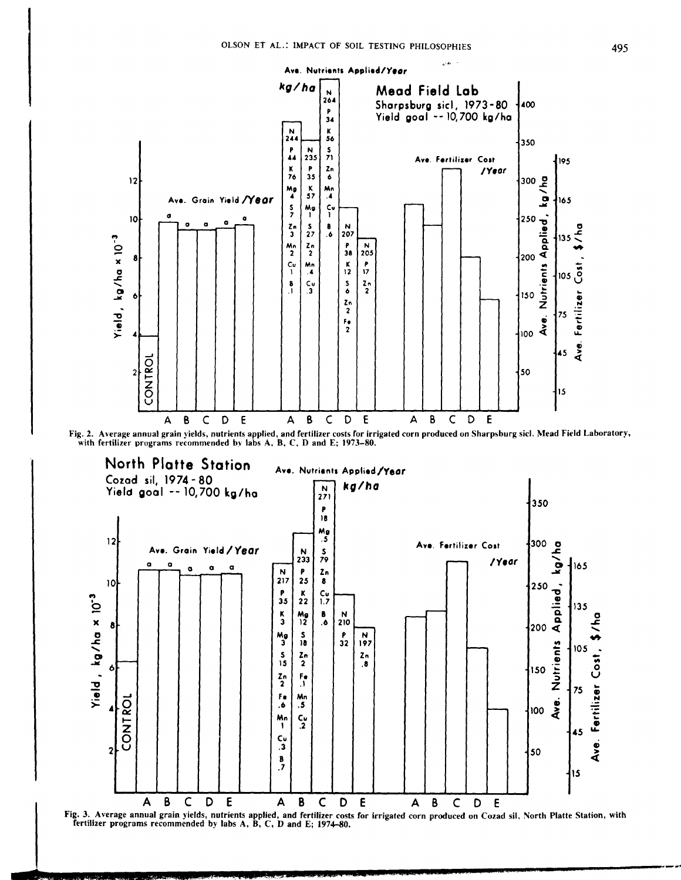

Fig. 3. Average annual grain yields, nutrients applied, and fertilizer costs for irrigated corn produced on Cozad sil, North Platte Station, with fertilizer programs recommended by labs A, B, C, D and E; 1974–80.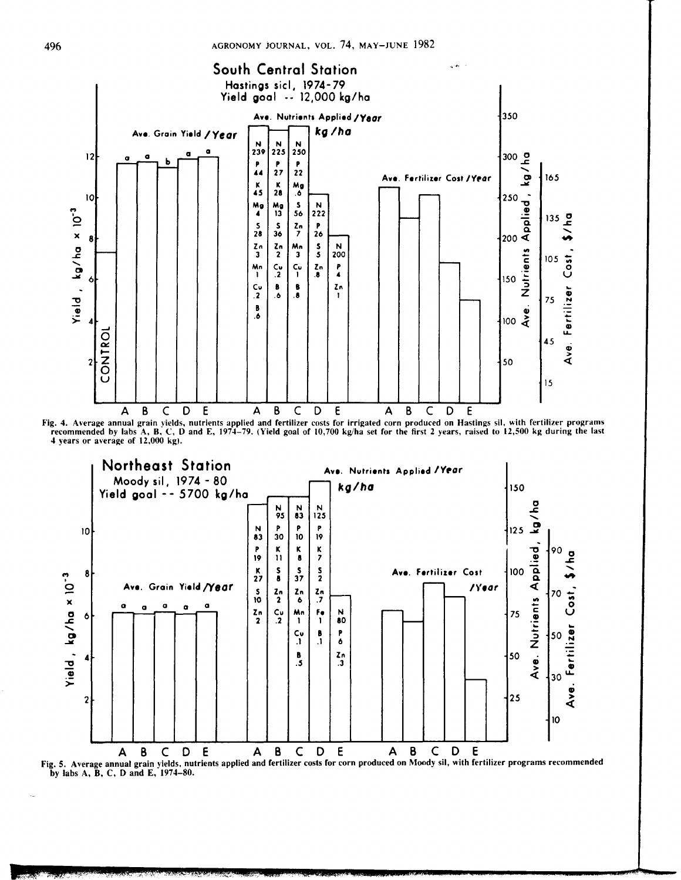

Fig. 4. Average annual grain yields, nutrients applied and fertilizer costs for irrigated corn produced on Hastings sil, with fertilizer programs recommended by labs A, B, C, D and E, 1974–79. (Yield goal of 10,700 kg/ha s



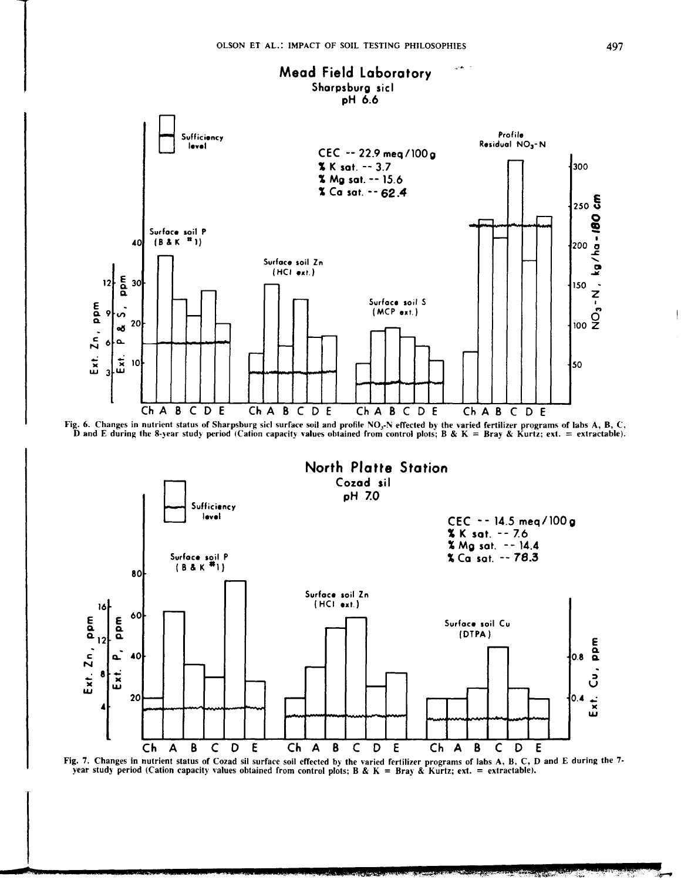





Fig. 7. Changes in nutrient status of Cozad sil surface soil effected by the varied fertilizer programs of labs A, B, C, D and E during the 7year study period (Cation capacity values obtained from control plots; B & K = Bray & Kurtz; ext. = extractable).

**REAL PROPERTY**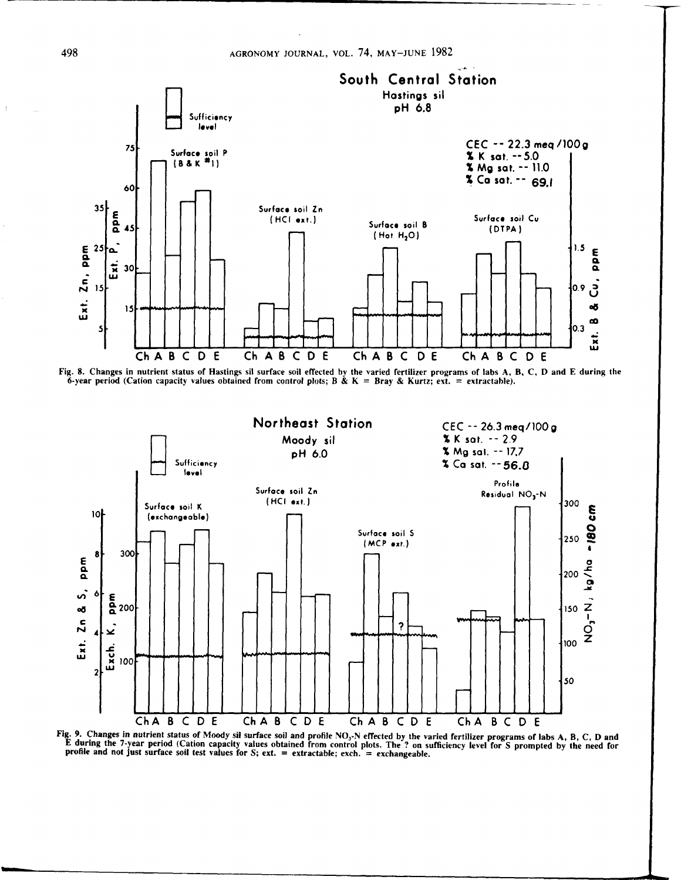

Fig. 8. Changes in nutrient status of Hastings sil surface soil effected by the varied fertilizer programs of labs A, B, C, D and E during the 6-year period (Cation capacity values obtained from control plots; B & K = Bray & Kurtz; ext. = extractable).



Fig. 9. Changes in nutrient status of Moody sil surface soil and profile NO<sub>3</sub>-N effected by the varied fertilizer programs of labs A, B, C, D and E during the 7-year period (Cation capacity values obtained from control p

 $\pm$